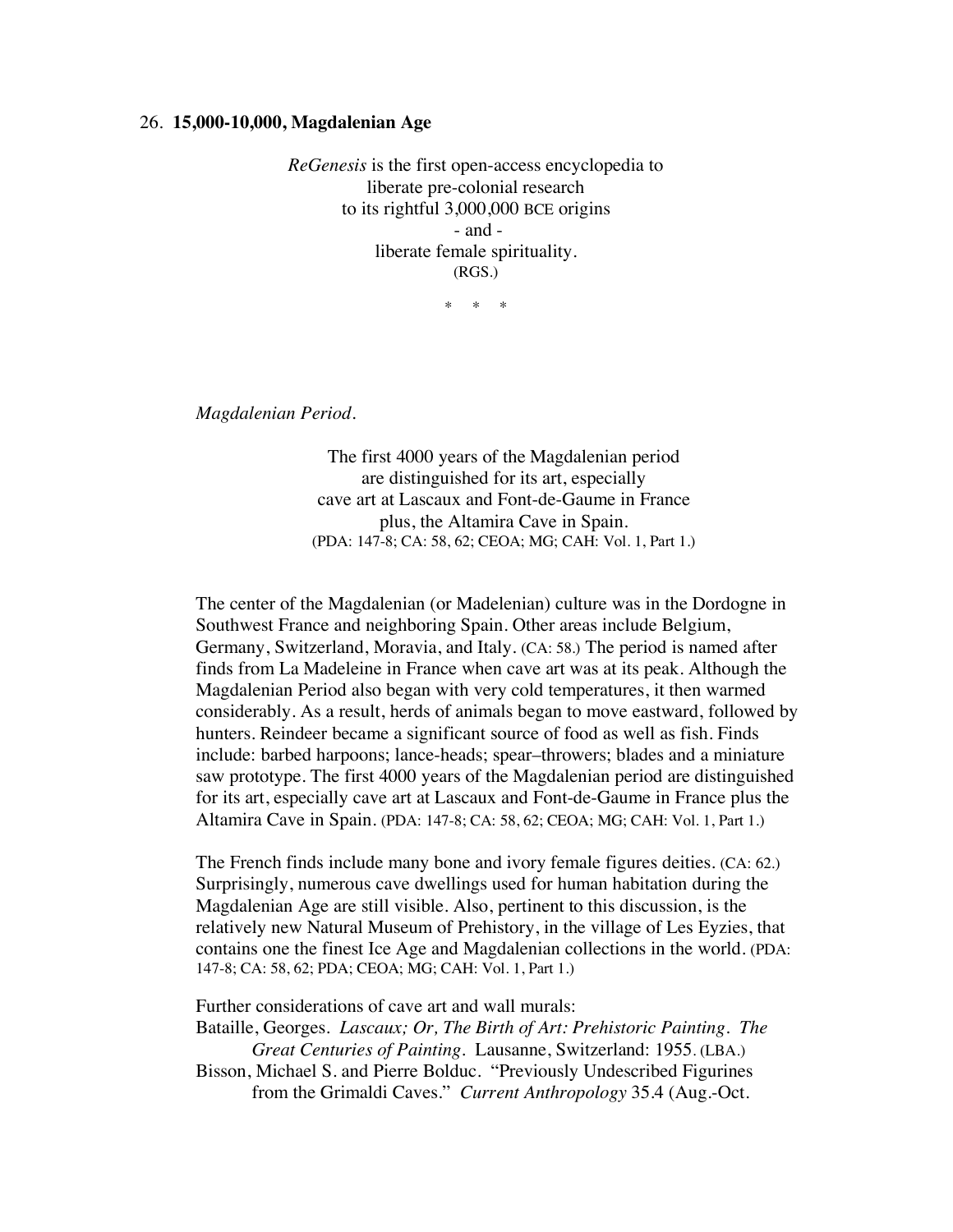## 26. **15,000-10,000, Magdalenian Age**

*ReGenesis* is the first open-access encyclopedia to liberate pre-colonial research to its rightful 3,000,000 BCE origins - and liberate female spirituality. (RGS.)

\* \* \*

*Magdalenian Period.*

The first 4000 years of the Magdalenian period are distinguished for its art, especially cave art at Lascaux and Font-de-Gaume in France plus, the Altamira Cave in Spain. (PDA: 147-8; CA: 58, 62; CEOA; MG; CAH: Vol. 1, Part 1.)

The center of the Magdalenian (or Madelenian) culture was in the Dordogne in Southwest France and neighboring Spain. Other areas include Belgium, Germany, Switzerland, Moravia, and Italy. (CA: 58.) The period is named after finds from La Madeleine in France when cave art was at its peak. Although the Magdalenian Period also began with very cold temperatures, it then warmed considerably. As a result, herds of animals began to move eastward, followed by hunters. Reindeer became a significant source of food as well as fish. Finds include: barbed harpoons; lance-heads; spear–throwers; blades and a miniature saw prototype. The first 4000 years of the Magdalenian period are distinguished for its art, especially cave art at Lascaux and Font-de-Gaume in France plus the Altamira Cave in Spain. (PDA: 147-8; CA: 58, 62; CEOA; MG; CAH: Vol. 1, Part 1.)

The French finds include many bone and ivory female figures deities. (CA: 62.) Surprisingly, numerous cave dwellings used for human habitation during the Magdalenian Age are still visible. Also, pertinent to this discussion, is the relatively new Natural Museum of Prehistory, in the village of Les Eyzies, that contains one the finest Ice Age and Magdalenian collections in the world. (PDA: 147-8; CA: 58, 62; PDA; CEOA; MG; CAH: Vol. 1, Part 1.)

Further considerations of cave art and wall murals:

Bataille, Georges. *Lascaux; Or, The Birth of Art: Prehistoric Painting. The Great Centuries of Painting.* Lausanne, Switzerland: 1955. (LBA.)

Bisson, Michael S. and Pierre Bolduc. "Previously Undescribed Figurines from the Grimaldi Caves." *Current Anthropology* 35.4 (Aug.-Oct.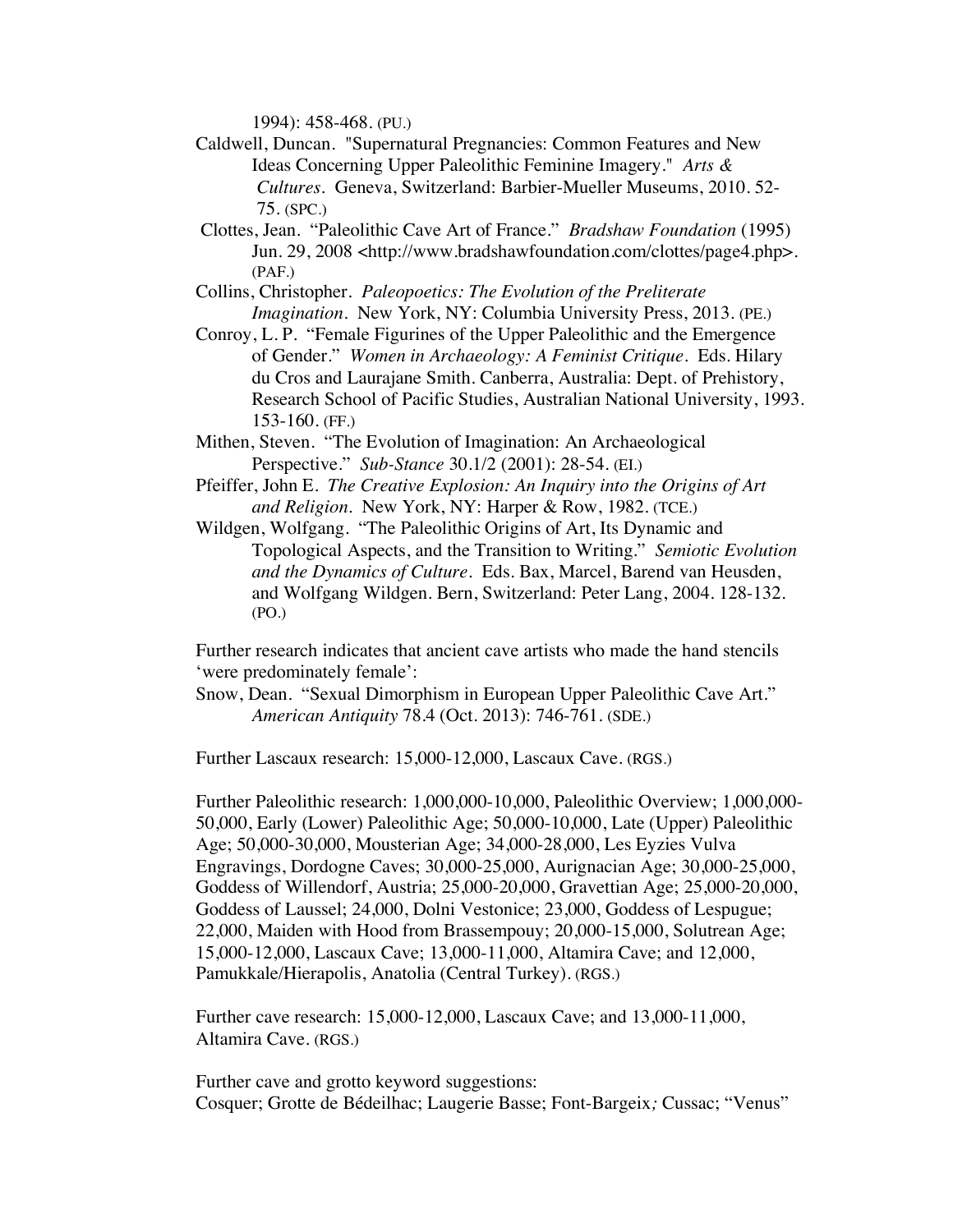1994): 458-468. (PU.)

- Caldwell, Duncan. "Supernatural Pregnancies: Common Features and New Ideas Concerning Upper Paleolithic Feminine Imagery." *Arts & Cultures.* Geneva, Switzerland: Barbier-Mueller Museums, 2010. 52- 75. (SPC.)
- Clottes, Jean. "Paleolithic Cave Art of France." *Bradshaw Foundation* (1995) Jun. 29, 2008 <http://www.bradshawfoundation.com/clottes/page4.php>. (PAF.)
- Collins, Christopher. *Paleopoetics: The Evolution of the Preliterate Imagination*. New York, NY: Columbia University Press, 2013. (PE.)
- Conroy, L. P. "Female Figurines of the Upper Paleolithic and the Emergence of Gender." *Women in Archaeology: A Feminist Critique*. Eds. Hilary du Cros and Laurajane Smith. Canberra, Australia: Dept. of Prehistory, Research School of Pacific Studies, Australian National University, 1993. 153-160. (FF.)
- Mithen, Steven. "The Evolution of Imagination: An Archaeological Perspective." *Sub-Stance* 30.1/2 (2001): 28-54. (EI.)
- Pfeiffer, John E. *The Creative Explosion: An Inquiry into the Origins of Art and Religion.* New York, NY: Harper & Row, 1982. (TCE.)
- Wildgen, Wolfgang. "The Paleolithic Origins of Art, Its Dynamic and Topological Aspects, and the Transition to Writing." *Semiotic Evolution and the Dynamics of Culture.* Eds. Bax, Marcel, Barend van Heusden, and Wolfgang Wildgen. Bern, Switzerland: Peter Lang, 2004. 128-132. (PO.)

Further research indicates that ancient cave artists who made the hand stencils 'were predominately female':

Snow, Dean. "Sexual Dimorphism in European Upper Paleolithic Cave Art." *American Antiquity* 78.4 (Oct. 2013): 746-761. (SDE.)

Further Lascaux research: 15,000-12,000, Lascaux Cave. (RGS.)

Further Paleolithic research: 1,000,000-10,000, Paleolithic Overview; 1,000,000- 50,000, Early (Lower) Paleolithic Age; 50,000-10,000, Late (Upper) Paleolithic Age; 50,000-30,000, Mousterian Age; 34,000-28,000, Les Eyzies Vulva Engravings, Dordogne Caves; 30,000-25,000, Aurignacian Age; 30,000-25,000, Goddess of Willendorf, Austria; 25,000-20,000, Gravettian Age; 25,000-20,000, Goddess of Laussel; 24,000, Dolni Vestonice; 23,000, Goddess of Lespugue; 22,000, Maiden with Hood from Brassempouy; 20,000-15,000, Solutrean Age; 15,000-12,000, Lascaux Cave; 13,000-11,000, Altamira Cave; and 12,000, Pamukkale/Hierapolis, Anatolia (Central Turkey). (RGS.)

Further cave research: 15,000-12,000, Lascaux Cave; and 13,000-11,000, Altamira Cave. (RGS.)

Further cave and grotto keyword suggestions: Cosquer; Grotte de Bédeilhac; Laugerie Basse; Font-Bargeix*;* Cussac; "Venus"